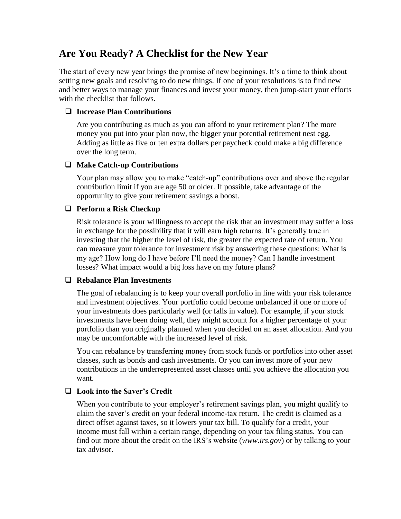# **Are You Ready? A Checklist for the New Year**

The start of every new year brings the promise of new beginnings. It's a time to think about setting new goals and resolving to do new things. If one of your resolutions is to find new and better ways to manage your finances and invest your money, then jump-start your efforts with the checklist that follows.

# **Increase Plan Contributions**

Are you contributing as much as you can afford to your retirement plan? The more money you put into your plan now, the bigger your potential retirement nest egg. Adding as little as five or ten extra dollars per paycheck could make a big difference over the long term.

# **Make Catch-up Contributions**

Your plan may allow you to make "catch-up" contributions over and above the regular contribution limit if you are age 50 or older. If possible, take advantage of the opportunity to give your retirement savings a boost.

# **Perform a Risk Checkup**

Risk tolerance is your willingness to accept the risk that an investment may suffer a loss in exchange for the possibility that it will earn high returns. It's generally true in investing that the higher the level of risk, the greater the expected rate of return. You can measure your tolerance for investment risk by answering these questions: What is my age? How long do I have before I'll need the money? Can I handle investment losses? What impact would a big loss have on my future plans?

### **Rebalance Plan Investments**

The goal of rebalancing is to keep your overall portfolio in line with your risk tolerance and investment objectives. Your portfolio could become unbalanced if one or more of your investments does particularly well (or falls in value). For example, if your stock investments have been doing well, they might account for a higher percentage of your portfolio than you originally planned when you decided on an asset allocation. And you may be uncomfortable with the increased level of risk.

You can rebalance by transferring money from stock funds or portfolios into other asset classes, such as bonds and cash investments. Or you can invest more of your new contributions in the underrepresented asset classes until you achieve the allocation you want.

# **Look into the Saver's Credit**

When you contribute to your employer's retirement savings plan, you might qualify to claim the saver's credit on your federal income-tax return. The credit is claimed as a direct offset against taxes, so it lowers your tax bill. To qualify for a credit, your income must fall within a certain range, depending on your tax filing status. You can find out more about the credit on the IRS's website (*www.irs.gov*) or by talking to your tax advisor.